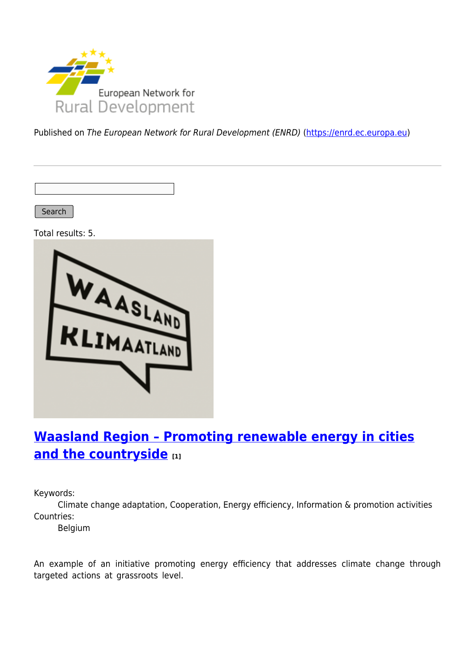

Published on The European Network for Rural Development (ENRD) [\(https://enrd.ec.europa.eu](https://enrd.ec.europa.eu))

Search

Total results: 5.



## **[Waasland Region – Promoting renewable energy in cities](https://enrd.ec.europa.eu/projects-practice/waasland-region-promoting-renewable-energy-cities-and-countryside_en) [and the countryside](https://enrd.ec.europa.eu/projects-practice/waasland-region-promoting-renewable-energy-cities-and-countryside_en) [1]**

Keywords:

Climate change adaptation, Cooperation, Energy efficiency, Information & promotion activities Countries:

Belgium

An example of an initiative promoting energy efficiency that addresses climate change through targeted actions at grassroots level.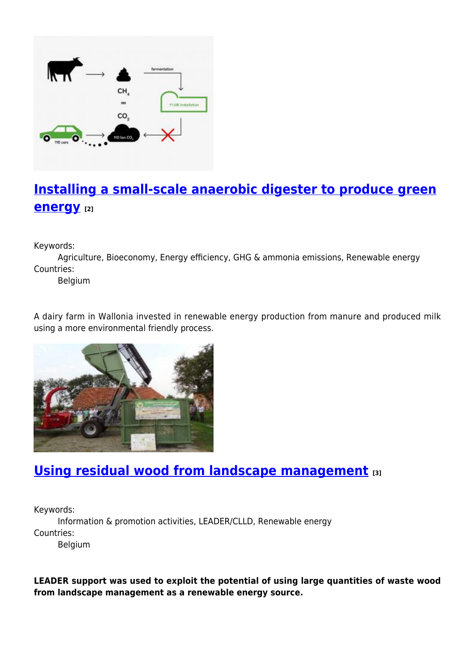

# **[Installing a small-scale anaerobic digester to produce green](https://enrd.ec.europa.eu/projects-practice/installing-small-scale-anaerobic-digester-produce-green-energy_en) [energy](https://enrd.ec.europa.eu/projects-practice/installing-small-scale-anaerobic-digester-produce-green-energy_en) [2]**

Keywords:

Agriculture, Bioeconomy, Energy efficiency, GHG & ammonia emissions, Renewable energy Countries:

Belgium

A dairy farm in Wallonia invested in renewable energy production from manure and produced milk using a more environmental friendly process.



### **[Using residual wood from landscape management](https://enrd.ec.europa.eu/projects-practice/using-residual-wood-landscape-management_en) [3]**

Keywords:

Information & promotion activities, LEADER/CLLD, Renewable energy Countries:

Belgium

**LEADER support was used to exploit the potential of using large quantities of waste wood from landscape management as a renewable energy source.**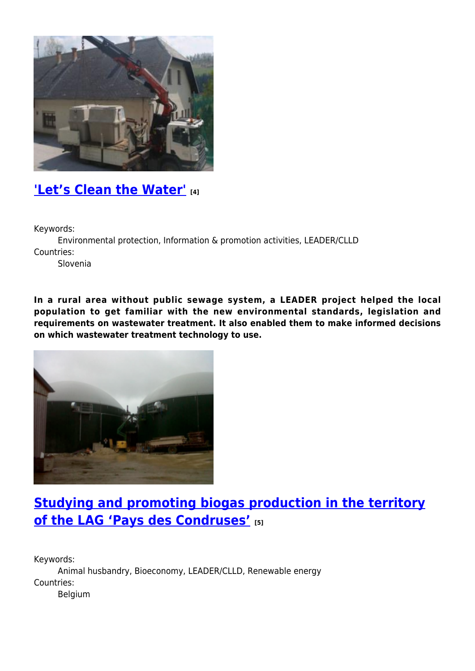

### **['Let's Clean the Water'](https://enrd.ec.europa.eu/projects-practice/let%E2%80%99s-clean-water_en) [4]**

Keywords:

Environmental protection, Information & promotion activities, LEADER/CLLD Countries:

Slovenia

**In a rural area without public sewage system, a LEADER project helped the local population to get familiar with the new environmental standards, legislation and requirements on wastewater treatment. It also enabled them to make informed decisions on which wastewater treatment technology to use.** 



## **[Studying and promoting biogas production in the territory](https://enrd.ec.europa.eu/projects-practice/studying-and-promoting-biogas-production-territory-lag-%E2%80%98pays-des-condruses%E2%80%99_en) [of the LAG 'Pays des Condruses'](https://enrd.ec.europa.eu/projects-practice/studying-and-promoting-biogas-production-territory-lag-%E2%80%98pays-des-condruses%E2%80%99_en) [5]**

Keywords: Animal husbandry, Bioeconomy, LEADER/CLLD, Renewable energy Countries: Belgium